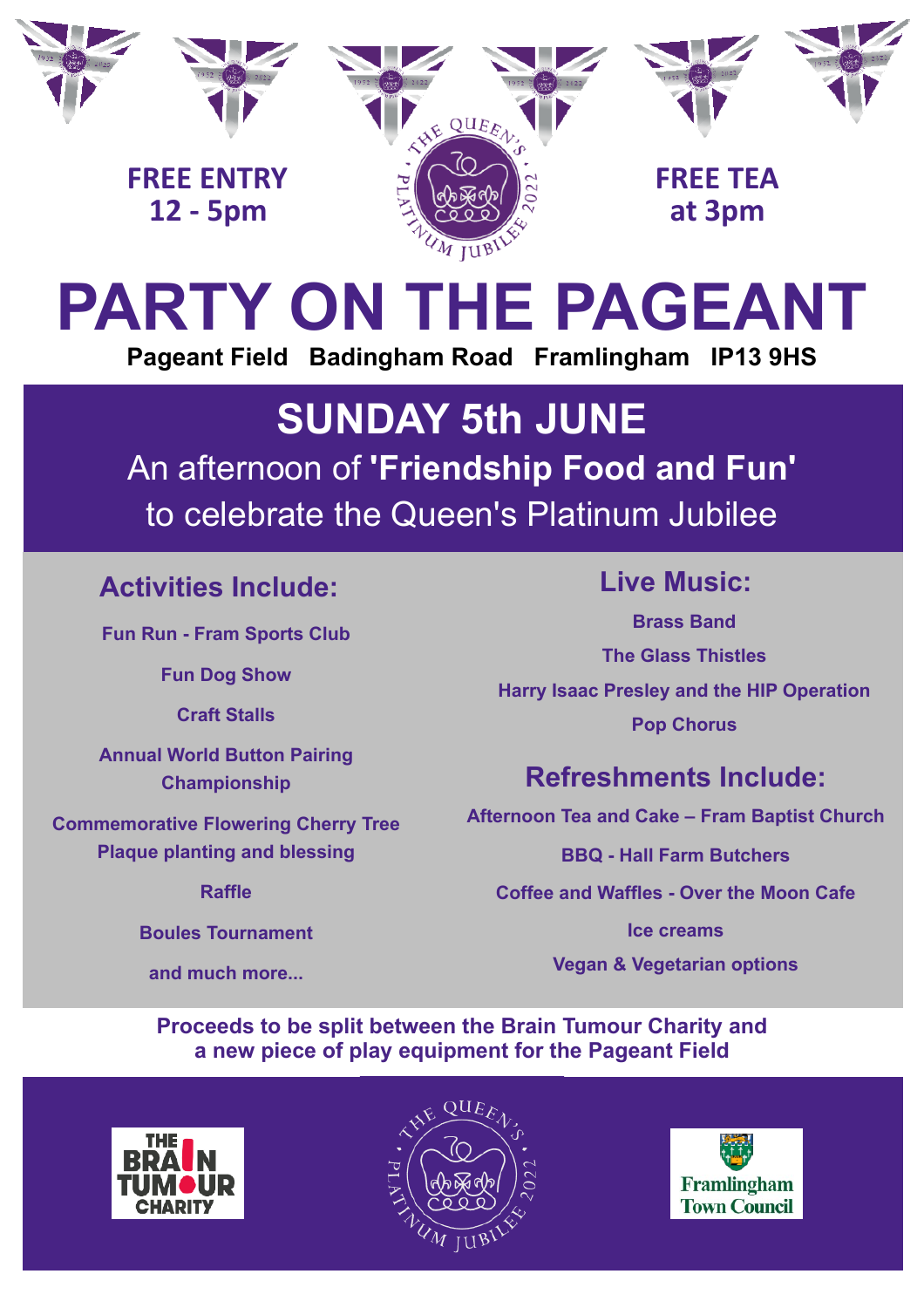

# **PARTY ON THE PAGEANT Pageant Field Badingham Road Framlingham IP13 9HS**

## An afternoon of **'Friendship Food and Fun'** to celebrate the Queen's Platinum Jubilee **SUNDAY 5th JUNE**

#### **Activities Include:**

**Fun Run - Fram Sports Club** 

**Fun Dog Show** 

**Craft Stalls** 

**Annual World Button Pairing Championship** 

**Commemorative Flowering Cherry Tree Plaque planting and blessing** 

**Raffle** 

**Boules Tournament** 

**and much more...**

#### **Live Music:**

**Brass Band The Glass Thistles Harry Isaac Presley and the HIP Operation Pop Chorus**

### **Refreshments Include:**

**Afternoon Tea and Cake – Fram Baptist Church** 

**BBQ - Hall Farm Butchers**

**Coffee and Waffles - Over the Moon Cafe** 

**Ice creams** 

**Vegan & Vegetarian options**

**Proceeds to be split between the Brain Tumour Charity and a new piece of play equipment for the Pageant Field**



 $\overline{\phantom{a}}$